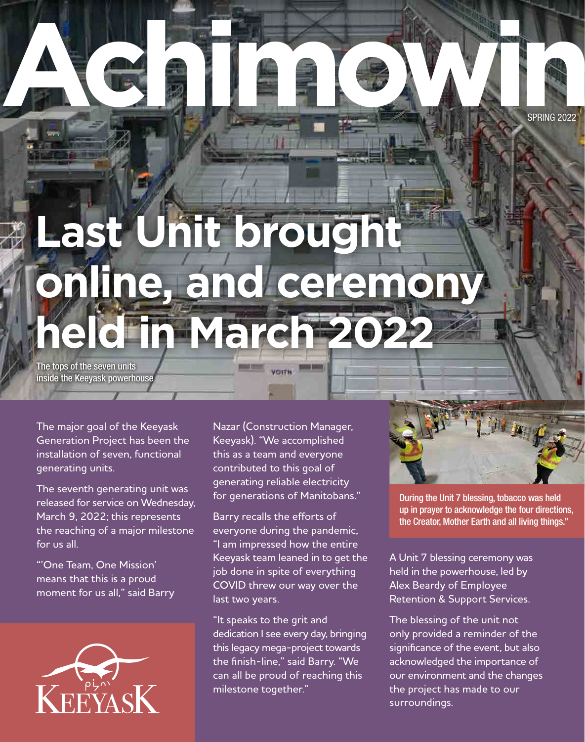ACAIROWIN SPRING 2022

# **Last Unit brought online, and ceremony held in March 202**

The tops of the seven units inside the Keeyask powerhouse

The major goal of the Keeyask Generation Project has been the installation of seven, functional generating units.

The seventh generating unit was released for service on Wednesday, March 9, 2022; this represents the reaching of a major milestone for us all.

"'One Team, One Mission' means that this is a proud moment for us all," said Barry



Nazar (Construction Manager, Keeyask). "We accomplished this as a team and everyone contributed to this goal of generating reliable electricity for generations of Manitobans."

Barry recalls the efforts of everyone during the pandemic, "I am impressed how the entire Keeyask team leaned in to get the job done in spite of everything COVID threw our way over the last two years.

"It speaks to the grit and dedication I see every day, bringing this legacy mega-project towards the finish-line," said Barry. "We can all be proud of reaching this milestone together."

During the Unit 7 blessing, tobacco was held up in prayer to acknowledge the four directions, the Creator, Mother Earth and all living things."

A Unit 7 blessing ceremony was held in the powerhouse, led by Alex Beardy of Employee Retention & Support Services.

The blessing of the unit not only provided a reminder of the significance of the event, but also acknowledged the importance of our environment and the changes the project has made to our surroundings.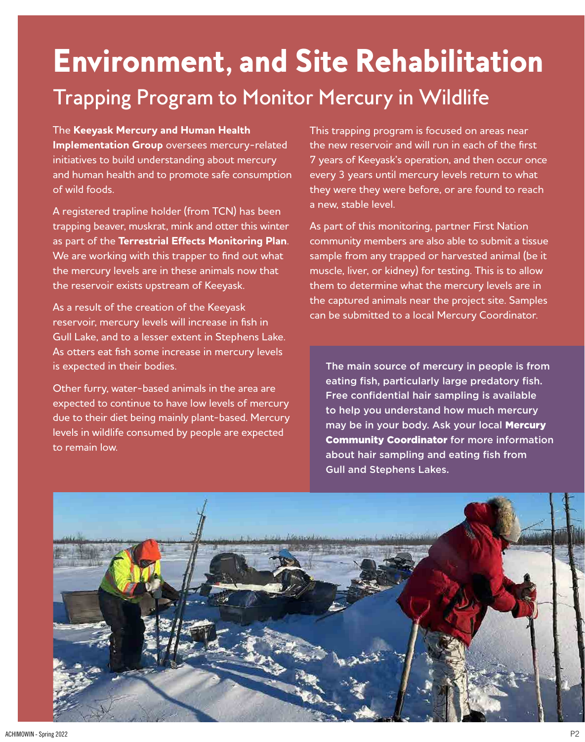### Environment, and Site Rehabilitation Trapping Program to Monitor Mercury in Wildlife

The **Keeyask Mercury and Human Health Implementation Group** oversees mercury-related initiatives to build understanding about mercury and human health and to promote safe consumption of wild foods.

A registered trapline holder (from TCN) has been trapping beaver, muskrat, mink and otter this winter as part of the **Terrestrial Effects Monitoring Plan**. We are working with this trapper to find out what the mercury levels are in these animals now that the reservoir exists upstream of Keeyask.

As a result of the creation of the Keeyask reservoir, mercury levels will increase in fish in Gull Lake, and to a lesser extent in Stephens Lake. As otters eat fish some increase in mercury levels is expected in their bodies.

Other furry, water-based animals in the area are expected to continue to have low levels of mercury due to their diet being mainly plant-based. Mercury levels in wildlife consumed by people are expected to remain low.

This trapping program is focused on areas near the new reservoir and will run in each of the first 7 years of Keeyask's operation, and then occur once every 3 years until mercury levels return to what they were they were before, or are found to reach a new, stable level.

As part of this monitoring, partner First Nation community members are also able to submit a tissue sample from any trapped or harvested animal (be it muscle, liver, or kidney) for testing. This is to allow them to determine what the mercury levels are in the captured animals near the project site. Samples can be submitted to a local Mercury Coordinator.

The main source of mercury in people is from eating fish, particularly large predatory fish. Free confidential hair sampling is available to help you understand how much mercury may be in your body. Ask your local Mercury Community Coordinator for more information about hair sampling and eating fish from Gull and Stephens Lakes.

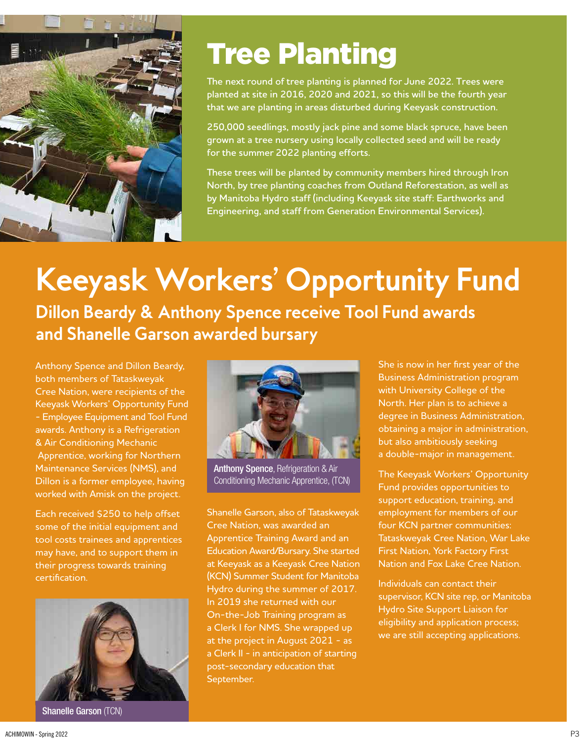

### Tree Planting

**The next round of tree planting is planned for June 2022. Trees were planted at site in 2016, 2020 and 2021, so this will be the fourth year that we are planting in areas disturbed during Keeyask construction.**

**250,000 seedlings, mostly jack pine and some black spruce, have been grown at a tree nursery using locally collected seed and will be ready for the summer 2022 planting efforts.**

**These trees will be planted by community members hired through Iron North, by tree planting coaches from Outland Reforestation, as well as by Manitoba Hydro staff (including Keeyask site staff: Earthworks and Engineering, and staff from Generation Environmental Services).**

## **Keeyask Workers' Opportunity Fund**

**Dillon Beardy & Anthony Spence receive Tool Fund awards and Shanelle Garson awarded bursary** 

Anthony Spence and Dillon Beardy, both members of Tataskweyak Cree Nation, were recipients of the Keeyask Workers' Opportunity Fund - Employee Equipment and Tool Fund awards. Anthony is a Refrigeration & Air Conditioning Mechanic Apprentice, working for Northern Maintenance Services (NMS), and Dillon is a former employee, having worked with Amisk on the project.

Each received \$250 to help offset some of the initial equipment and tool costs trainees and apprentices may have, and to support them in their progress towards training certification.



Shanelle Garson (TCN)



Anthony Spence, Refrigeration & Air Conditioning Mechanic Apprentice, (TCN)

Shanelle Garson, also of Tataskweyak Cree Nation, was awarded an Apprentice Training Award and an Education Award/Bursary. She started at Keeyask as a Keeyask Cree Nation (KCN) Summer Student for Manitoba Hydro during the summer of 2017. In 2019 she returned with our On-the-Job Training program as a Clerk I for NMS. She wrapped up at the project in August 2021 - as a Clerk II - in anticipation of starting post-secondary education that September.

She is now in her first year of the Business Administration program with University College of the North. Her plan is to achieve a degree in Business Administration, obtaining a major in administration, but also ambitiously seeking a double-major in management.

The Keeyask Workers' Opportunity Fund provides opportunities to support education, training, and employment for members of our four KCN partner communities: Tataskweyak Cree Nation, War Lake First Nation, York Factory First Nation and Fox Lake Cree Nation.

Individuals can contact their supervisor, KCN site rep, or Manitoba Hydro Site Support Liaison for eligibility and application process; we are still accepting applications.